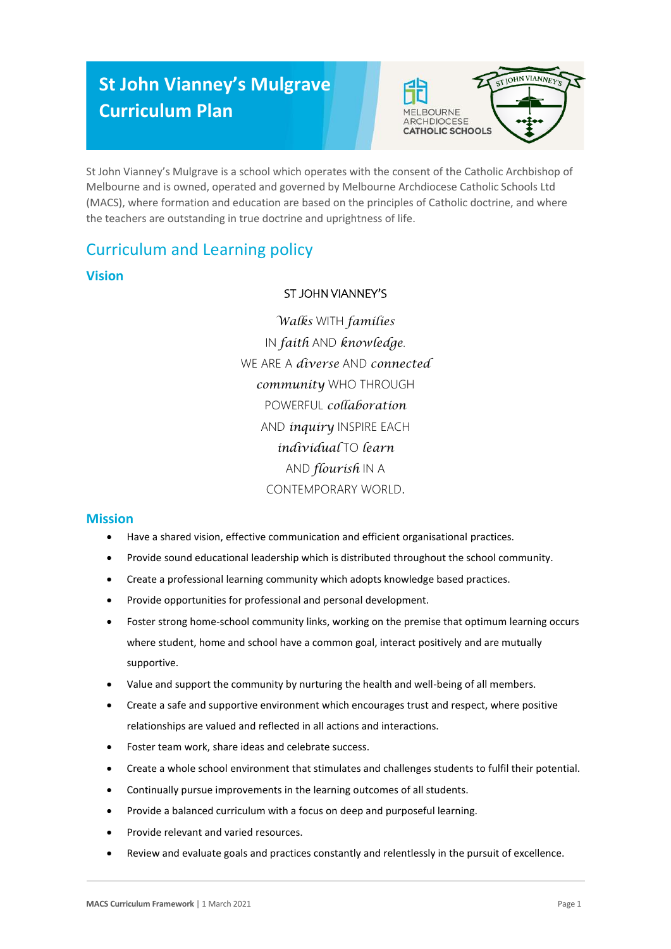# **St John Vianney's Mulgrave Curriculum Plan**



St John Vianney's Mulgrave is a school which operates with the consent of the Catholic Archbishop of Melbourne and is owned, operated and governed by Melbourne Archdiocese Catholic Schools Ltd (MACS), where formation and education are based on the principles of Catholic doctrine, and where the teachers are outstanding in true doctrine and uprightness of life.

# Curriculum and Learning policy

### **Vision**

### ST JOHN VIANNEY'S

*Walks* WITH *families* IN *faith* AND *knowledge*. WE ARE A *diverse* AND *connected community* WHO THROUGH POWERFUL *collaboration* AND *inquiry* INSPIRE EACH *individual* TO *learn* AND *flourish* IN A CONTEMPORARY WORLD.

#### **Mission**

- Have a shared vision, effective communication and efficient organisational practices.
- Provide sound educational leadership which is distributed throughout the school community.
- Create a professional learning community which adopts knowledge based practices.
- Provide opportunities for professional and personal development.
- Foster strong home-school community links, working on the premise that optimum learning occurs where student, home and school have a common goal, interact positively and are mutually supportive.
- Value and support the community by nurturing the health and well-being of all members.
- Create a safe and supportive environment which encourages trust and respect, where positive relationships are valued and reflected in all actions and interactions.
- Foster team work, share ideas and celebrate success.
- Create a whole school environment that stimulates and challenges students to fulfil their potential.
- Continually pursue improvements in the learning outcomes of all students.
- Provide a balanced curriculum with a focus on deep and purposeful learning.
- Provide relevant and varied resources.
- Review and evaluate goals and practices constantly and relentlessly in the pursuit of excellence.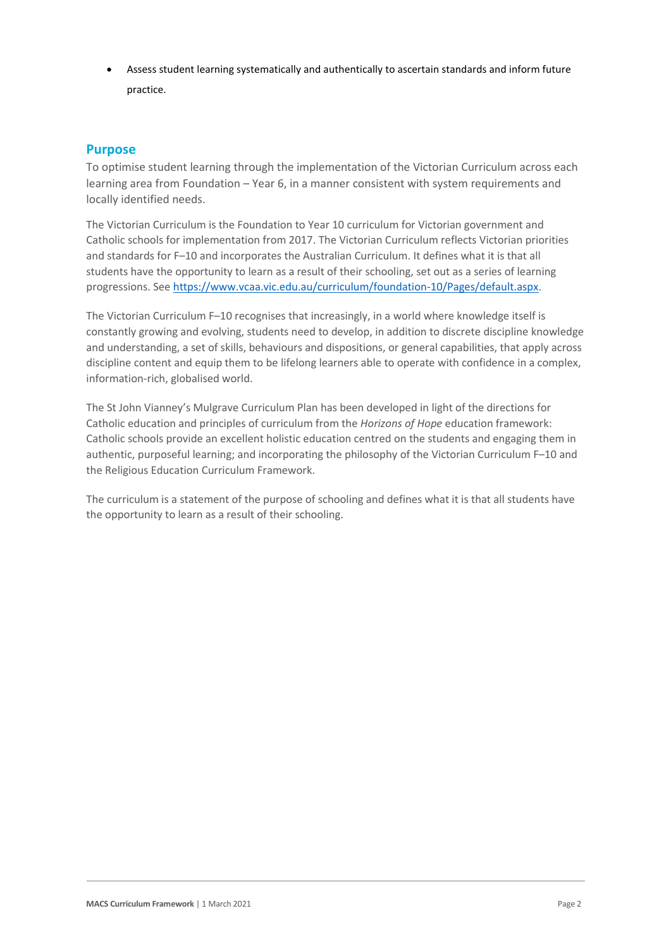Assess student learning systematically and authentically to ascertain standards and inform future practice.

#### **Purpose**

To optimise student learning through the implementation of the Victorian Curriculum across each learning area from Foundation – Year 6, in a manner consistent with system requirements and locally identified needs.

The Victorian Curriculum is the Foundation to Year 10 curriculum for Victorian government and Catholic schools for implementation from 2017. The Victorian Curriculum reflects Victorian priorities and standards for F–10 and incorporates the Australian Curriculum. It defines what it is that all students have the opportunity to learn as a result of their schooling, set out as a series of learning progressions. Se[e https://www.vcaa.vic.edu.au/curriculum/foundation-10/Pages/default.aspx.](https://www.vcaa.vic.edu.au/curriculum/foundation-10/Pages/default.aspx)

The Victorian Curriculum F–10 recognises that increasingly, in a world where knowledge itself is constantly growing and evolving, students need to develop, in addition to discrete discipline knowledge and understanding, a set of skills, behaviours and dispositions, or general capabilities, that apply across discipline content and equip them to be lifelong learners able to operate with confidence in a complex, information-rich, globalised world.

The St John Vianney's Mulgrave Curriculum Plan has been developed in light of the directions for Catholic education and principles of curriculum from the *Horizons of Hope* education framework: Catholic schools provide an excellent holistic education centred on the students and engaging them in authentic, purposeful learning; and incorporating the philosophy of the Victorian Curriculum F–10 and the Religious Education Curriculum Framework.

The curriculum is a statement of the purpose of schooling and defines what it is that all students have the opportunity to learn as a result of their schooling.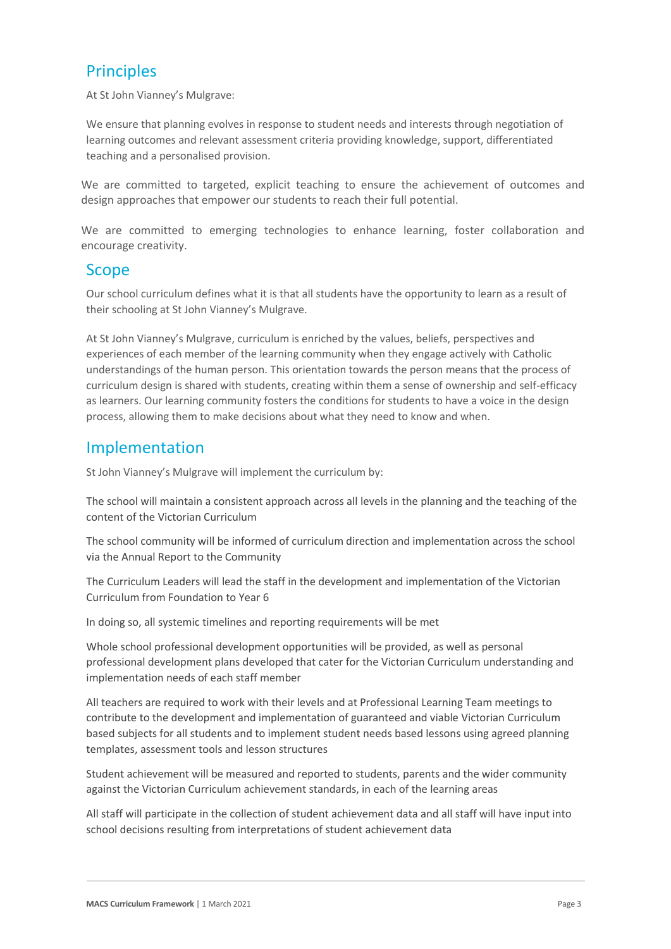# **Principles**

At St John Vianney's Mulgrave:

We ensure that planning evolves in response to student needs and interests through negotiation of learning outcomes and relevant assessment criteria providing knowledge, support, differentiated teaching and a personalised provision.

We are committed to targeted, explicit teaching to ensure the achievement of outcomes and design approaches that empower our students to reach their full potential.

We are committed to emerging technologies to enhance learning, foster collaboration and encourage creativity.

### Scope

Our school curriculum defines what it is that all students have the opportunity to learn as a result of their schooling at St John Vianney's Mulgrave.

At St John Vianney's Mulgrave, curriculum is enriched by the values, beliefs, perspectives and experiences of each member of the learning community when they engage actively with Catholic understandings of the human person. This orientation towards the person means that the process of curriculum design is shared with students, creating within them a sense of ownership and self-efficacy as learners. Our learning community fosters the conditions for students to have a voice in the design process, allowing them to make decisions about what they need to know and when.

## Implementation

St John Vianney's Mulgrave will implement the curriculum by:

The school will maintain a consistent approach across all levels in the planning and the teaching of the content of the Victorian Curriculum

The school community will be informed of curriculum direction and implementation across the school via the Annual Report to the Community

The Curriculum Leaders will lead the staff in the development and implementation of the Victorian Curriculum from Foundation to Year 6

In doing so, all systemic timelines and reporting requirements will be met

Whole school professional development opportunities will be provided, as well as personal professional development plans developed that cater for the Victorian Curriculum understanding and implementation needs of each staff member

All teachers are required to work with their levels and at Professional Learning Team meetings to contribute to the development and implementation of guaranteed and viable Victorian Curriculum based subjects for all students and to implement student needs based lessons using agreed planning templates, assessment tools and lesson structures

Student achievement will be measured and reported to students, parents and the wider community against the Victorian Curriculum achievement standards, in each of the learning areas

All staff will participate in the collection of student achievement data and all staff will have input into school decisions resulting from interpretations of student achievement data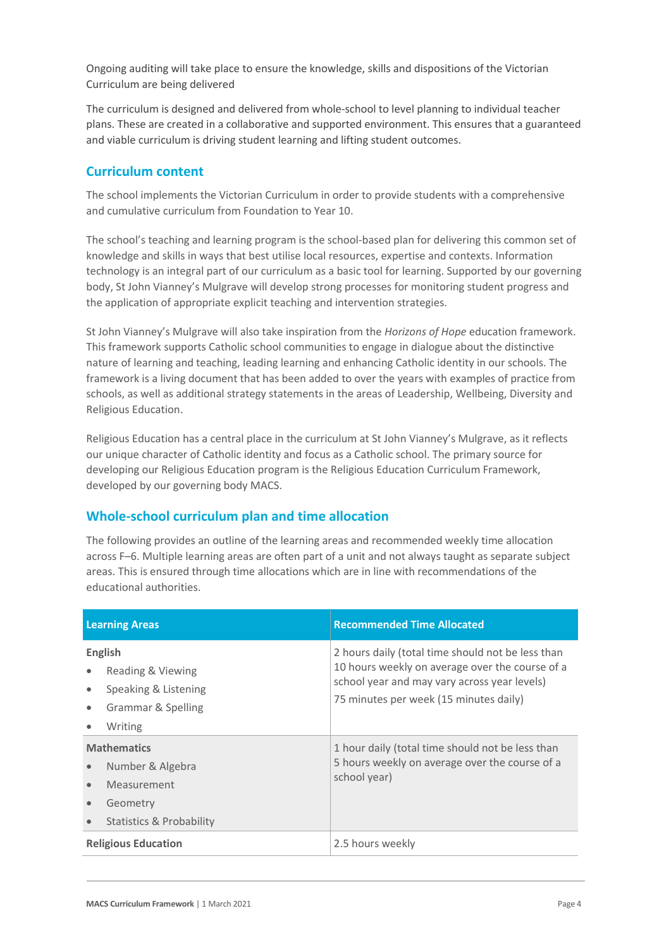Ongoing auditing will take place to ensure the knowledge, skills and dispositions of the Victorian Curriculum are being delivered

The curriculum is designed and delivered from whole-school to level planning to individual teacher plans. These are created in a collaborative and supported environment. This ensures that a guaranteed and viable curriculum is driving student learning and lifting student outcomes.

#### **Curriculum content**

The school implements the Victorian Curriculum in order to provide students with a comprehensive and cumulative curriculum from Foundation to Year 10.

The school's teaching and learning program is the school-based plan for delivering this common set of knowledge and skills in ways that best utilise local resources, expertise and contexts. Information technology is an integral part of our curriculum as a basic tool for learning. Supported by our governing body, St John Vianney's Mulgrave will develop strong processes for monitoring student progress and the application of appropriate explicit teaching and intervention strategies.

St John Vianney's Mulgrave will also take inspiration from the *Horizons of Hope* education framework. This framework supports Catholic school communities to engage in dialogue about the distinctive nature of learning and teaching, leading learning and enhancing Catholic identity in our schools. The framework is a living document that has been added to over the years with examples of practice from schools, as well as additional strategy statements in the areas of Leadership, Wellbeing, Diversity and Religious Education.

Religious Education has a central place in the curriculum at St John Vianney's Mulgrave, as it reflects our unique character of Catholic identity and focus as a Catholic school. The primary source for developing our Religious Education program is the Religious Education Curriculum Framework, developed by our governing body MACS.

### **Whole-school curriculum plan and time allocation**

The following provides an outline of the learning areas and recommended weekly time allocation across F–6. Multiple learning areas are often part of a unit and not always taught as separate subject areas. This is ensured through time allocations which are in line with recommendations of the educational authorities.

| <b>Learning Areas</b>                                                                                                                                           | <b>Recommended Time Allocated</b>                                                                                                                                                              |
|-----------------------------------------------------------------------------------------------------------------------------------------------------------------|------------------------------------------------------------------------------------------------------------------------------------------------------------------------------------------------|
| <b>English</b><br>Reading & Viewing<br>$\bullet$<br>Speaking & Listening<br>$\bullet$<br>Grammar & Spelling<br>$\bullet$<br>Writing                             | 2 hours daily (total time should not be less than<br>10 hours weekly on average over the course of a<br>school year and may vary across year levels)<br>75 minutes per week (15 minutes daily) |
| <b>Mathematics</b><br>Number & Algebra<br>$\bullet$<br>Measurement<br>$\bullet$<br>Geometry<br>$\qquad \qquad \bullet$<br>Statistics & Probability<br>$\bullet$ | 1 hour daily (total time should not be less than<br>5 hours weekly on average over the course of a<br>school year)                                                                             |
| <b>Religious Education</b>                                                                                                                                      | 2.5 hours weekly                                                                                                                                                                               |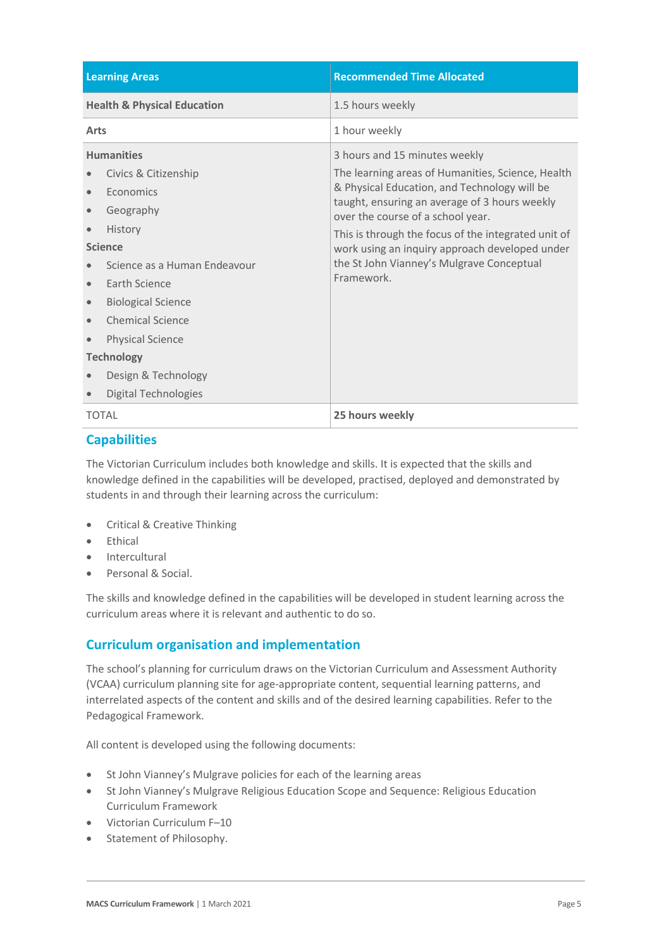| <b>Learning Areas</b>                                                                                                                                                                                                                                                                                                        | <b>Recommended Time Allocated</b>                                                                                                                                                                                                                                                                                                                                                            |
|------------------------------------------------------------------------------------------------------------------------------------------------------------------------------------------------------------------------------------------------------------------------------------------------------------------------------|----------------------------------------------------------------------------------------------------------------------------------------------------------------------------------------------------------------------------------------------------------------------------------------------------------------------------------------------------------------------------------------------|
| <b>Health &amp; Physical Education</b>                                                                                                                                                                                                                                                                                       | 1.5 hours weekly                                                                                                                                                                                                                                                                                                                                                                             |
| Arts                                                                                                                                                                                                                                                                                                                         | 1 hour weekly                                                                                                                                                                                                                                                                                                                                                                                |
| <b>Humanities</b><br>Civics & Citizenship<br>Economics<br>Geography<br>History<br><b>Science</b><br>Science as a Human Endeavour<br><b>Farth Science</b><br>$\bullet$<br><b>Biological Science</b><br><b>Chemical Science</b><br><b>Physical Science</b><br><b>Technology</b><br>Design & Technology<br>Digital Technologies | 3 hours and 15 minutes weekly<br>The learning areas of Humanities, Science, Health<br>& Physical Education, and Technology will be<br>taught, ensuring an average of 3 hours weekly<br>over the course of a school year.<br>This is through the focus of the integrated unit of<br>work using an inquiry approach developed under<br>the St John Vianney's Mulgrave Conceptual<br>Framework. |
| <b>TOTAL</b>                                                                                                                                                                                                                                                                                                                 | 25 hours weekly                                                                                                                                                                                                                                                                                                                                                                              |

### **Capabilities**

The Victorian Curriculum includes both knowledge and skills. It is expected that the skills and knowledge defined in the capabilities will be developed, practised, deployed and demonstrated by students in and through their learning across the curriculum:

- Critical & Creative Thinking
- Ethical
- Intercultural
- Personal & Social.

The skills and knowledge defined in the capabilities will be developed in student learning across the curriculum areas where it is relevant and authentic to do so.

### **Curriculum organisation and implementation**

The school's planning for curriculum draws on the Victorian Curriculum and Assessment Authority (VCAA) curriculum planning site for age-appropriate content, sequential learning patterns, and interrelated aspects of the content and skills and of the desired learning capabilities. Refer to the Pedagogical Framework.

All content is developed using the following documents:

- St John Vianney's Mulgrave policies for each of the learning areas
- St John Vianney's Mulgrave Religious Education Scope and Sequence: Religious Education Curriculum Framework
- Victorian Curriculum F–10
- Statement of Philosophy.